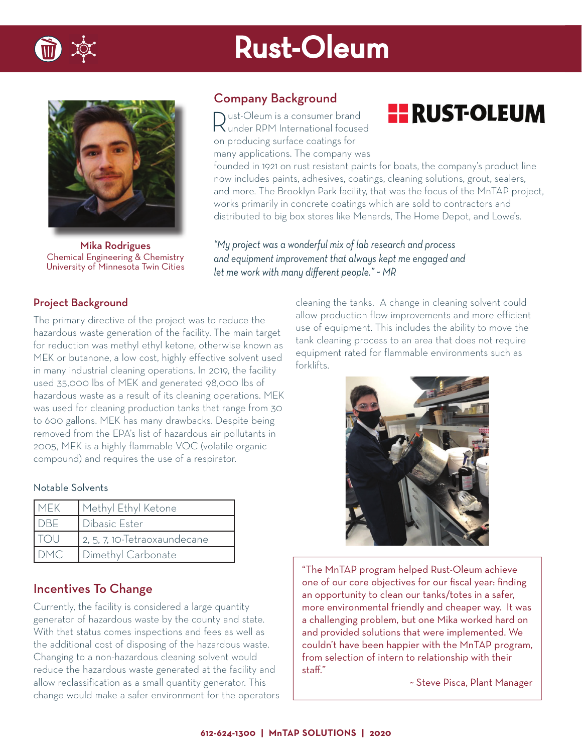

## Rust-Oleum



Mika Rodrigues Chemical Engineering & Chemistry University of Minnesota Twin Cities

### Company Background

Rust-Oleum is a consumer brand under RPM International focused on producing surface coatings for many applications. The company was

### **HE RUST-OLEUM**

founded in 1921 on rust resistant paints for boats, the company's product line now includes paints, adhesives, coatings, cleaning solutions, grout, sealers, and more. The Brooklyn Park facility, that was the focus of the MnTAP project, works primarily in concrete coatings which are sold to contractors and distributed to big box stores like Menards, The Home Depot, and Lowe's.

*"My project was a wonderful mix of lab research and process and equipment improvement that always kept me engaged and*  let me work with many different people." ~ MR

### Project Background

The primary directive of the project was to reduce the hazardous waste generation of the facility. The main target for reduction was methyl ethyl ketone, otherwise known as MEK or butanone, a low cost, highly effective solvent used in many industrial cleaning operations. In 2019, the facility used 35,000 lbs of MEK and generated 98,000 lbs of hazardous waste as a result of its cleaning operations. MEK was used for cleaning production tanks that range from 30 to 600 gallons. MEK has many drawbacks. Despite being removed from the EPA's list of hazardous air pollutants in 2005, MEK is a highly flammable VOC (volatile organic compound) and requires the use of a respirator.

### Notable Solvents

| MEK         | Methyl Ethyl Ketone          |
|-------------|------------------------------|
| <b>IDBE</b> | <b>Dibasic Ester</b>         |
|             | 2, 5, 7, 10-Tetraoxaundecane |
|             | Dimethyl Carbonate           |

### Incentives To Change

Currently, the facility is considered a large quantity generator of hazardous waste by the county and state. With that status comes inspections and fees as well as the additional cost of disposing of the hazardous waste. Changing to a non-hazardous cleaning solvent would reduce the hazardous waste generated at the facility and allow reclassification as a small quantity generator. This change would make a safer environment for the operators

cleaning the tanks. A change in cleaning solvent could allow production flow improvements and more efficient use of equipment. This includes the ability to move the tank cleaning process to an area that does not require equipment rated for flammable environments such as forklifts.



"The MnTAP program helped Rust-Oleum achieve one of our core objectives for our fiscal year: finding an opportunity to clean our tanks/totes in a safer, more environmental friendly and cheaper way. It was a challenging problem, but one Mika worked hard on and provided solutions that were implemented. We couldn't have been happier with the MnTAP program, from selection of intern to relationship with their staff."

~ Steve Pisca, Plant Manager